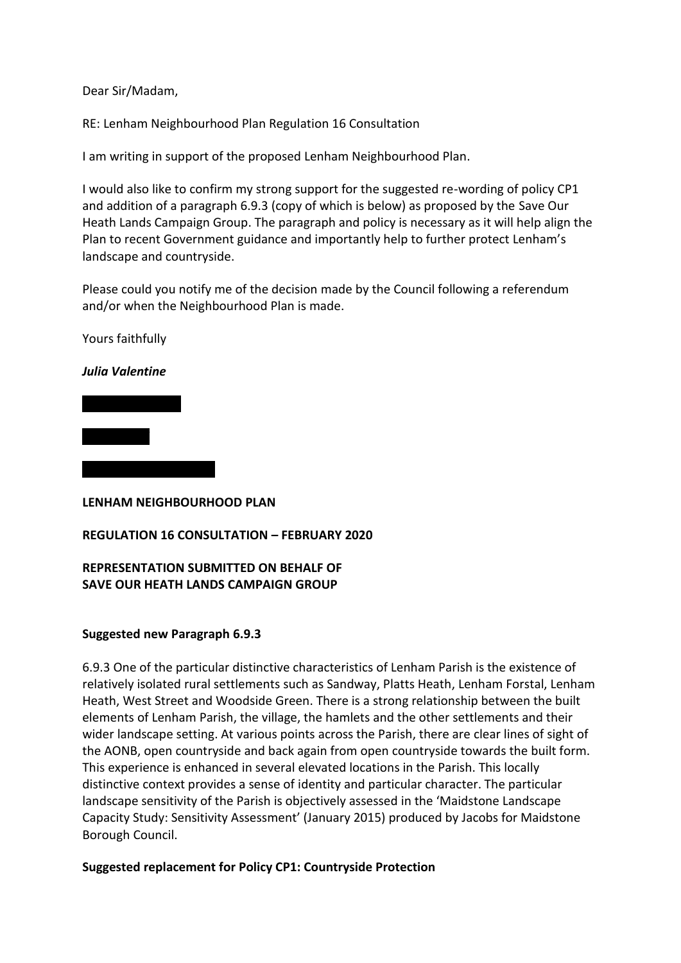Dear Sir/Madam,

RE: Lenham Neighbourhood Plan Regulation 16 Consultation

I am writing in support of the proposed Lenham Neighbourhood Plan.

I would also like to confirm my strong support for the suggested re-wording of policy CP1 and addition of a paragraph 6.9.3 (copy of which is below) as proposed by the Save Our Heath Lands Campaign Group. The paragraph and policy is necessary as it will help align the Plan to recent Government guidance and importantly help to further protect Lenham's landscape and countryside.

Please could you notify me of the decision made by the Council following a referendum and/or when the Neighbourhood Plan is made.

Yours faithfully

## *Julia Valentine*

*Coach Road*

**LENHAM NEIGHBOURHOOD PLAN**

## **REGULATION 16 CONSULTATION – FEBRUARY 2020**

# **REPRESENTATION SUBMITTED ON BEHALF OF SAVE OUR HEATH LANDS CAMPAIGN GROUP**

## **Suggested new Paragraph 6.9.3**

6.9.3 One of the particular distinctive characteristics of Lenham Parish is the existence of relatively isolated rural settlements such as Sandway, Platts Heath, Lenham Forstal, Lenham Heath, West Street and Woodside Green. There is a strong relationship between the built elements of Lenham Parish, the village, the hamlets and the other settlements and their wider landscape setting. At various points across the Parish, there are clear lines of sight of the AONB, open countryside and back again from open countryside towards the built form. This experience is enhanced in several elevated locations in the Parish. This locally distinctive context provides a sense of identity and particular character. The particular landscape sensitivity of the Parish is objectively assessed in the 'Maidstone Landscape Capacity Study: Sensitivity Assessment' (January 2015) produced by Jacobs for Maidstone Borough Council.

## **Suggested replacement for Policy CP1: Countryside Protection**